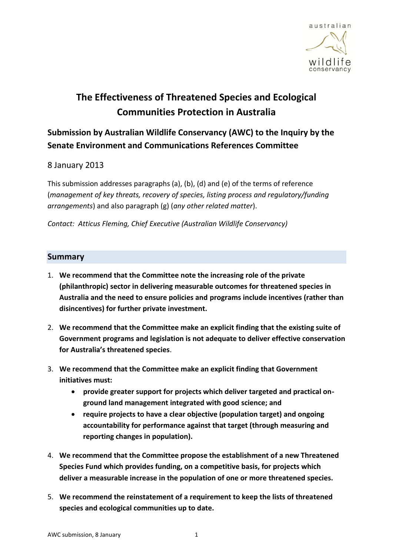

# **The Effectiveness of Threatened Species and Ecological Communities Protection in Australia**

# **Submission by Australian Wildlife Conservancy (AWC) to the Inquiry by the Senate Environment and Communications References Committee**

### 8 January 2013

This submission addresses paragraphs (a), (b), (d) and (e) of the terms of reference (*management of key threats, recovery of species, listing process and regulatory/funding arrangements*) and also paragraph (g) (*any other related matter*).

*Contact: Atticus Fleming, Chief Executive (Australian Wildlife Conservancy)* 

#### **Summary**

- 1. **We recommend that the Committee note the increasing role of the private (philanthropic) sector in delivering measurable outcomes for threatened species in Australia and the need to ensure policies and programs include incentives (rather than disincentives) for further private investment.**
- 2. **We recommend that the Committee make an explicit finding that the existing suite of Government programs and legislation is not adequate to deliver effective conservation for Australia's threatened species**.
- 3. **We recommend that the Committee make an explicit finding that Government initiatives must:**
	- **provide greater support for projects which deliver targeted and practical onground land management integrated with good science; and**
	- **require projects to have a clear objective (population target) and ongoing accountability for performance against that target (through measuring and reporting changes in population).**
- 4. **We recommend that the Committee propose the establishment of a new Threatened Species Fund which provides funding, on a competitive basis, for projects which deliver a measurable increase in the population of one or more threatened species.**
- 5. **We recommend the reinstatement of a requirement to keep the lists of threatened species and ecological communities up to date.**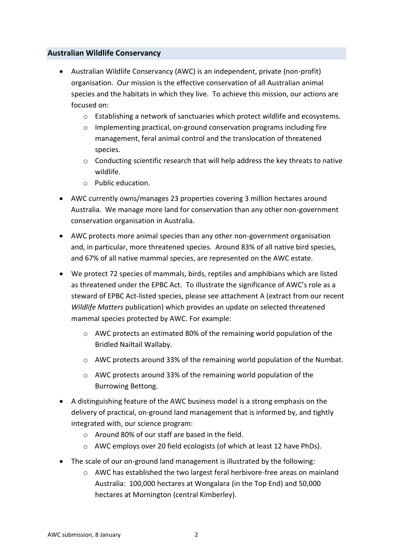#### **Australian Wildlife Conservancy**

- Australian Wildlife Conservancy (AWC) is an independent, private (non-profit) organisation. Our mission is the effective conservation of all Australian animal species and the habitats in which they live. To achieve this mission, our actions are focused on:
	- o Establishing a network of sanctuaries which protect wildlife and ecosystems.
	- $\circ$  Implementing practical, on-ground conservation programs including fire management, feral animal control and the translocation of threatened species.
	- $\circ$  Conducting scientific research that will help address the key threats to native wildlife.
	- o Public education.
- AWC currently owns/manages 23 properties covering 3 million hectares around Australia. We manage more land for conservation than any other non-government conservation organisation in Australia.
- AWC protects more animal species than any other non-government organisation and, in particular, more threatened species. Around 83% of all native bird species, and 67% of all native mammal species, are represented on the AWC estate.
- We protect 72 species of mammals, birds, reptiles and amphibians which are listed as threatened under the EPBC Act. To illustrate the significance of AWC's role as a steward of EPBC Act-listed species, please see attachment A (extract from our recent *Wildlife Matters* publication) which provides an update on selected threatened mammal species protected by AWC. For example:
	- o AWC protects an estimated 80% of the remaining world population of the Bridled Nailtail Wallaby.
	- o AWC protects around 33% of the remaining world population of the Numbat.
	- o AWC protects around 33% of the remaining world population of the Burrowing Bettong.
- A distinguishing feature of the AWC business model is a strong emphasis on the delivery of practical, on-ground land management that is informed by, and tightly integrated with, our science program:
	- o Around 80% of our staff are based in the field.
	- o AWC employs over 20 field ecologists (of which at least 12 have PhDs).
- The scale of our on-ground land management is illustrated by the following:
	- o AWC has established the two largest feral herbivore-free areas on mainland Australia: 100,000 hectares at Wongalara (in the Top End) and 50,000 hectares at Mornington (central Kimberley).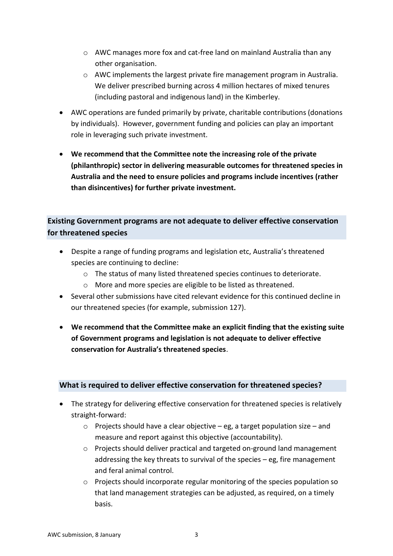- $\circ$  AWC manages more fox and cat-free land on mainland Australia than any other organisation.
- o AWC implements the largest private fire management program in Australia. We deliver prescribed burning across 4 million hectares of mixed tenures (including pastoral and indigenous land) in the Kimberley.
- AWC operations are funded primarily by private, charitable contributions (donations by individuals). However, government funding and policies can play an important role in leveraging such private investment.
- **We recommend that the Committee note the increasing role of the private (philanthropic) sector in delivering measurable outcomes for threatened species in Australia and the need to ensure policies and programs include incentives (rather than disincentives) for further private investment.**

# **Existing Government programs are not adequate to deliver effective conservation for threatened species**

- Despite a range of funding programs and legislation etc, Australia's threatened species are continuing to decline:
	- o The status of many listed threatened species continues to deteriorate.
	- o More and more species are eligible to be listed as threatened.
- Several other submissions have cited relevant evidence for this continued decline in our threatened species (for example, submission 127).
- **We recommend that the Committee make an explicit finding that the existing suite of Government programs and legislation is not adequate to deliver effective conservation for Australia's threatened species**.

#### **What is required to deliver effective conservation for threatened species?**

- The strategy for delivering effective conservation for threatened species is relatively straight-forward:
	- $\circ$  Projects should have a clear objective eg, a target population size and measure and report against this objective (accountability).
	- o Projects should deliver practical and targeted on-ground land management addressing the key threats to survival of the species – eg, fire management and feral animal control.
	- $\circ$  Projects should incorporate regular monitoring of the species population so that land management strategies can be adjusted, as required, on a timely basis.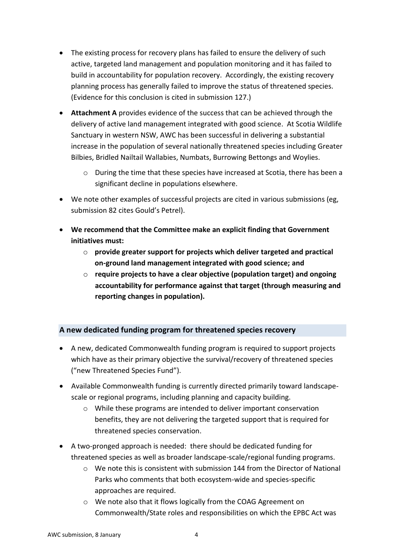- The existing process for recovery plans has failed to ensure the delivery of such active, targeted land management and population monitoring and it has failed to build in accountability for population recovery. Accordingly, the existing recovery planning process has generally failed to improve the status of threatened species. (Evidence for this conclusion is cited in submission 127.)
- **Attachment A** provides evidence of the success that can be achieved through the delivery of active land management integrated with good science. At Scotia Wildlife Sanctuary in western NSW, AWC has been successful in delivering a substantial increase in the population of several nationally threatened species including Greater Bilbies, Bridled Nailtail Wallabies, Numbats, Burrowing Bettongs and Woylies.
	- o During the time that these species have increased at Scotia, there has been a significant decline in populations elsewhere.
- We note other examples of successful projects are cited in various submissions (eg, submission 82 cites Gould's Petrel).
- **We recommend that the Committee make an explicit finding that Government initiatives must:**
	- o **provide greater support for projects which deliver targeted and practical on-ground land management integrated with good science; and**
	- o **require projects to have a clear objective (population target) and ongoing accountability for performance against that target (through measuring and reporting changes in population).**

## **A new dedicated funding program for threatened species recovery**

- A new, dedicated Commonwealth funding program is required to support projects which have as their primary objective the survival/recovery of threatened species ("new Threatened Species Fund").
- Available Commonwealth funding is currently directed primarily toward landscapescale or regional programs, including planning and capacity building.
	- o While these programs are intended to deliver important conservation benefits, they are not delivering the targeted support that is required for threatened species conservation.
- A two-pronged approach is needed: there should be dedicated funding for threatened species as well as broader landscape-scale/regional funding programs.
	- $\circ$  We note this is consistent with submission 144 from the Director of National Parks who comments that both ecosystem-wide and species-specific approaches are required.
	- o We note also that it flows logically from the COAG Agreement on Commonwealth/State roles and responsibilities on which the EPBC Act was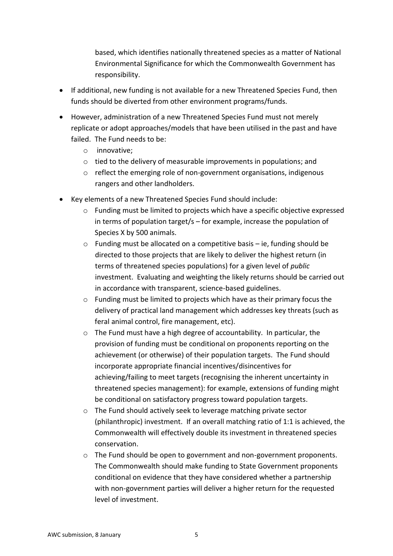based, which identifies nationally threatened species as a matter of National Environmental Significance for which the Commonwealth Government has responsibility.

- If additional, new funding is not available for a new Threatened Species Fund, then funds should be diverted from other environment programs/funds.
- However, administration of a new Threatened Species Fund must not merely replicate or adopt approaches/models that have been utilised in the past and have failed. The Fund needs to be:
	- o innovative;
	- o tied to the delivery of measurable improvements in populations; and
	- o reflect the emerging role of non-government organisations, indigenous rangers and other landholders.
- Key elements of a new Threatened Species Fund should include:
	- o Funding must be limited to projects which have a specific objective expressed in terms of population target/s – for example, increase the population of Species X by 500 animals.
	- o Funding must be allocated on a competitive basis ie, funding should be directed to those projects that are likely to deliver the highest return (in terms of threatened species populations) for a given level of *public* investment. Evaluating and weighting the likely returns should be carried out in accordance with transparent, science-based guidelines.
	- o Funding must be limited to projects which have as their primary focus the delivery of practical land management which addresses key threats (such as feral animal control, fire management, etc).
	- o The Fund must have a high degree of accountability. In particular, the provision of funding must be conditional on proponents reporting on the achievement (or otherwise) of their population targets. The Fund should incorporate appropriate financial incentives/disincentives for achieving/failing to meet targets (recognising the inherent uncertainty in threatened species management): for example, extensions of funding might be conditional on satisfactory progress toward population targets.
	- o The Fund should actively seek to leverage matching private sector (philanthropic) investment. If an overall matching ratio of 1:1 is achieved, the Commonwealth will effectively double its investment in threatened species conservation.
	- o The Fund should be open to government and non-government proponents. The Commonwealth should make funding to State Government proponents conditional on evidence that they have considered whether a partnership with non-government parties will deliver a higher return for the requested level of investment.